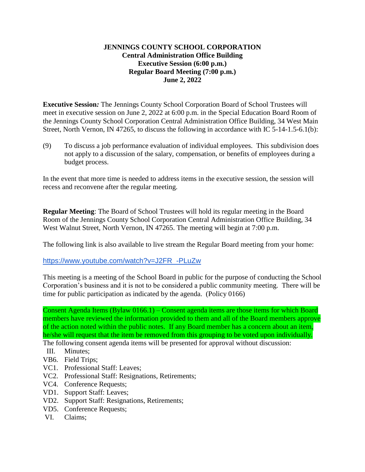## **JENNINGS COUNTY SCHOOL CORPORATION Central Administration Office Building Executive Session (6:00 p.m.) Regular Board Meeting (7:00 p.m.) June 2, 2022**

**Executive Session***:* The Jennings County School Corporation Board of School Trustees will meet in executive session on June 2, 2022 at 6:00 p.m. in the Special Education Board Room of the Jennings County School Corporation Central Administration Office Building, 34 West Main Street, North Vernon, IN 47265, to discuss the following in accordance with IC 5-14-1.5-6.1(b):

(9) To discuss a job performance evaluation of individual employees. This subdivision does not apply to a discussion of the salary, compensation, or benefits of employees during a budget process.

In the event that more time is needed to address items in the executive session, the session will recess and reconvene after the regular meeting.

**Regular Meeting**: The Board of School Trustees will hold its regular meeting in the Board Room of the Jennings County School Corporation Central Administration Office Building, 34 West Walnut Street, North Vernon, IN 47265. The meeting will begin at 7:00 p.m.

The following link is also available to live stream the Regular Board meeting from your home:

[https://www.youtube.com/watch?v=J2FR\\_-PLuZw](https://www.youtube.com/watch?v=J2FR_-PLuZw)

This meeting is a meeting of the School Board in public for the purpose of conducting the School Corporation's business and it is not to be considered a public community meeting. There will be time for public participation as indicated by the agenda. (Policy 0166)

Consent Agenda Items (Bylaw 0166.1) – Consent agenda items are those items for which Board members have reviewed the information provided to them and all of the Board members approve of the action noted within the public notes. If any Board member has a concern about an item, he/she will request that the item be removed from this grouping to be voted upon individually.

- The following consent agenda items will be presented for approval without discussion:
- III. Minutes;
- VB6. Field Trips;
- VC1. Professional Staff: Leaves;
- VC2. Professional Staff: Resignations, Retirements;
- VC4. Conference Requests;
- VD1. Support Staff: Leaves;
- VD2. Support Staff: Resignations, Retirements;
- VD5. Conference Requests;
- VI. Claims;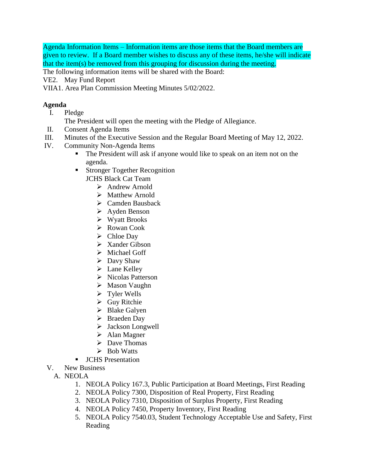Agenda Information Items – Information items are those items that the Board members are given to review. If a Board member wishes to discuss any of these items, he/she will indicate that the item(s) be removed from this grouping for discussion during the meeting.

The following information items will be shared with the Board:

- VE2. May Fund Report
- VIIA1. Area Plan Commission Meeting Minutes 5/02/2022.

## **Agenda**

- I. Pledge
	- The President will open the meeting with the Pledge of Allegiance.
- II. Consent Agenda Items
- III. Minutes of the Executive Session and the Regular Board Meeting of May 12, 2022.
- IV. Community Non-Agenda Items
	- The President will ask if anyone would like to speak on an item not on the agenda.
	- **Stronger Together Recognition** JCHS Black Cat Team
		- $\triangleright$  Andrew Arnold
		- $\triangleright$  Matthew Arnold
		- Camden Bausback
		- Ayden Benson
		- Wyatt Brooks
		- $\triangleright$  Rowan Cook
		- $\triangleright$  Chloe Day
		- $\triangleright$  Xander Gibson
		- > Michael Goff
		- $\triangleright$  Davy Shaw
		- $\blacktriangleright$  Lane Kelley
		- $\triangleright$  Nicolas Patterson
		- Mason Vaughn
		- Tyler Wells
		- Guy Ritchie
		- $\triangleright$  Blake Galyen
		- Braeden Day
		- > Jackson Longwell
		- > Alan Magner
		- $\triangleright$  Dave Thomas
		- $\triangleright$  Bob Watts
	- **JCHS** Presentation
- V. New Business
	- A. NEOLA
		- 1. NEOLA Policy 167.3, Public Participation at Board Meetings, First Reading
		- 2. NEOLA Policy 7300, Disposition of Real Property, First Reading
		- 3. NEOLA Policy 7310, Disposition of Surplus Property, First Reading
		- 4. NEOLA Policy 7450, Property Inventory, First Reading
		- 5. NEOLA Policy 7540.03, Student Technology Acceptable Use and Safety, First Reading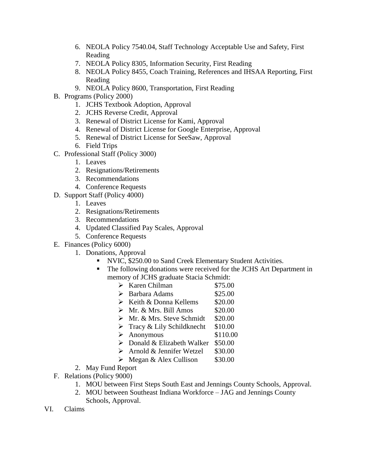- 6. NEOLA Policy 7540.04, Staff Technology Acceptable Use and Safety, First Reading
- 7. NEOLA Policy 8305, Information Security, First Reading
- 8. NEOLA Policy 8455, Coach Training, References and IHSAA Reporting, First Reading
- 9. NEOLA Policy 8600, Transportation, First Reading
- B. Programs (Policy 2000)
	- 1. JCHS Textbook Adoption, Approval
	- 2. JCHS Reverse Credit, Approval
	- 3. Renewal of District License for Kami, Approval
	- 4. Renewal of District License for Google Enterprise, Approval
	- 5. Renewal of District License for SeeSaw, Approval
	- 6. Field Trips
- C. Professional Staff (Policy 3000)
	- 1. Leaves
	- 2. Resignations/Retirements
	- 3. Recommendations
	- 4. Conference Requests
- D. Support Staff (Policy 4000)
	- 1. Leaves
	- 2. Resignations/Retirements
	- 3. Recommendations
	- 4. Updated Classified Pay Scales, Approval
	- 5. Conference Requests
- E. Finances (Policy 6000)
	- 1. Donations, Approval
		- NVIC, \$250.00 to Sand Creek Elementary Student Activities.
		- The following donations were received for the JCHS Art Department in memory of JCHS graduate Stacia Schmidt:
			- Karen Chilman \$75.00
			- $\triangleright$  Barbara Adams \$25.00
			- $\triangleright$  Keith & Donna Kellems \$20.00
			- $\triangleright$  Mr. & Mrs. Bill Amos \$20.00
			- $\triangleright$  Mr. & Mrs. Steve Schmidt \$20.00
			- $\triangleright$  Tracy & Lily Schildknecht \$10.00
			- $\blacktriangleright$  Anonymous \$110.00
			- $\triangleright$  Donald & Elizabeth Walker \$50.00
			- $\triangleright$  Arnold & Jennifer Wetzel \$30.00
			- $\triangleright$  Megan & Alex Cullison \$30.00
	- 2. May Fund Report
- F. Relations (Policy 9000)
	- 1. MOU between First Steps South East and Jennings County Schools, Approval.
	- 2. MOU between Southeast Indiana Workforce JAG and Jennings County Schools, Approval.
- VI. Claims